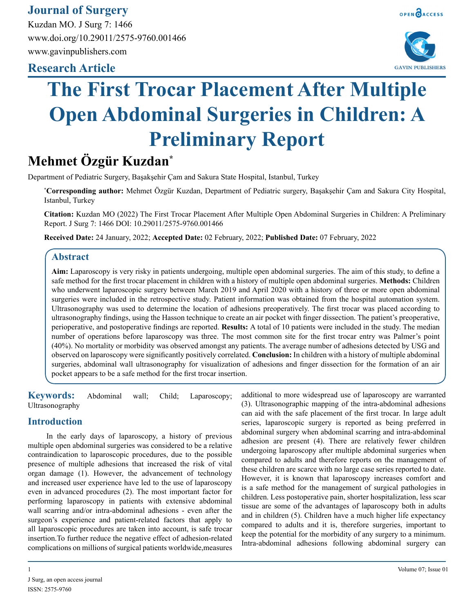## **Journal of Surgery**

Kuzdan MO. J Surg 7: 1466 www.doi.org/10.29011/2575-9760.001466 www.gavinpublishers.com

## **Research Article**





# **The First Trocar Placement After Multiple Open Abdominal Surgeries in Children: A Preliminary Report**

# **Mehmet Özgür Kuzdan\***

Department of Pediatric Surgery, Başakşehir Çam and Sakura State Hospital, Istanbul, Turkey

**\* Corresponding author:** Mehmet Özgür Kuzdan, Department of Pediatric surgery, Başakşehir Çam and Sakura City Hospital, Istanbul, Turkey

**Citation:** Kuzdan MO (2022) The First Trocar Placement After Multiple Open Abdominal Surgeries in Children: A Preliminary Report. J Surg 7: 1466 DOI: 10.29011/2575-9760.001466

**Received Date:** 24 January, 2022; **Accepted Date:** 02 February, 2022; **Published Date:** 07 February, 2022

#### **Abstract**

**Aim:** Laparoscopy is very risky in patients undergoing, multiple open abdominal surgeries. The aim of this study, to define a safe method for the first trocar placement in children with a history of multiple open abdominal surgeries. **Methods:** Children who underwent laparoscopic surgery between March 2019 and April 2020 with a history of three or more open abdominal surgeries were included in the retrospective study. Patient information was obtained from the hospital automation system. Ultrasonography was used to determine the location of adhesions preoperatively. The first trocar was placed according to ultrasonography findings, using the Hasson technique to create an air pocket with finger dissection. The patient's preoperative, perioperative, and postoperative findings are reported. **Results:** A total of 10 patients were included in the study. The median number of operations before laparoscopy was three. The most common site for the first trocar entry was Palmer's point (40%). No mortality or morbidity was observed amongst any patients. The average number of adhesions detected by USG and observed on laparoscopy were significantly positively correlated. **Conclusion:** In children with a history of multiple abdominal surgeries, abdominal wall ultrasonography for visualization of adhesions and finger dissection for the formation of an air pocket appears to be a safe method for the first trocar insertion.

**Keywords:** Abdominal wall; Child; Laparoscopy; Ultrasonography

#### **Introduction**

In the early days of laparoscopy, a history of previous multiple open abdominal surgeries was considered to be a relative contraindication to laparoscopic procedures, due to the possible presence of multiple adhesions that increased the risk of vital organ damage (1). However, the advancement of technology and increased user experience have led to the use of laparoscopy even in advanced procedures (2). The most important factor for performing laparoscopy in patients with extensive abdominal wall scarring and/or intra-abdominal adhesions - even after the surgeon's experience and patient-related factors that apply to all laparoscopic procedures are taken into account, is safe trocar insertion.To further reduce the negative effect of adhesion-related complications on millions of surgical patients worldwide,measures

additional to more widespread use of laparoscopy are warranted (3). Ultrasonographic mapping of the intra-abdominal adhesions can aid with the safe placement of the first trocar. In large adult series, laparoscopic surgery is reported as being preferred in abdominal surgery when abdominal scarring and intra-abdominal adhesion are present (4). There are relatively fewer children undergoing laparoscopy after multiple abdominal surgeries when compared to adults and therefore reports on the management of these children are scarce with no large case series reported to date. However, it is known that laparoscopy increases comfort and is a safe method for the management of surgical pathologies in children. Less postoperative pain, shorter hospitalization, less scar tissue are some of the advantages of laparoscopy both in adults and in children (5). Children have a much higher life expectancy compared to adults and it is, therefore surgeries, important to keep the potential for the morbidity of any surgery to a minimum. Intra-abdominal adhesions following abdominal surgery can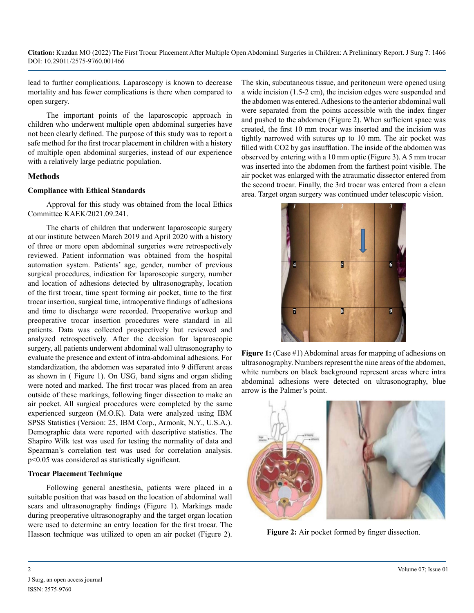lead to further complications. Laparoscopy is known to decrease mortality and has fewer complications is there when compared to open surgery.

The important points of the laparoscopic approach in children who underwent multiple open abdominal surgeries have not been clearly defined. The purpose of this study was to report a safe method for the first trocar placement in children with a history of multiple open abdominal surgeries, instead of our experience with a relatively large pediatric population.

#### **Methods**

#### **Compliance with Ethical Standards**

Approval for this study was obtained from the local Ethics Committee KAEK/2021.09.241.

The charts of children that underwent laparoscopic surgery at our institute between March 2019 and April 2020 with a history of three or more open abdominal surgeries were retrospectively reviewed. Patient information was obtained from the hospital automation system. Patients' age, gender, number of previous surgical procedures, indication for laparoscopic surgery, number and location of adhesions detected by ultrasonography, location of the first trocar, time spent forming air pocket, time to the first trocar insertion, surgical time, intraoperative findings of adhesions and time to discharge were recorded. Preoperative workup and preoperative trocar insertion procedures were standard in all patients. Data was collected prospectively but reviewed and analyzed retrospectively. After the decision for laparoscopic surgery, all patients underwent abdominal wall ultrasonography to evaluate the presence and extent of intra-abdominal adhesions. For standardization, the abdomen was separated into 9 different areas as shown in ( Figure 1). On USG, band signs and organ sliding were noted and marked. The first trocar was placed from an area outside of these markings, following finger dissection to make an air pocket. All surgical procedures were completed by the same experienced surgeon (M.O.K). Data were analyzed using IBM SPSS Statistics (Version: 25, IBM Corp., Armonk, N.Y., U.S.A.). Demographic data were reported with descriptive statistics. The Shapiro Wilk test was used for testing the normality of data and Spearman's correlation test was used for correlation analysis. p<0.05 was considered as statistically significant.

#### **Trocar Placement Technique**

Following general anesthesia, patients were placed in a suitable position that was based on the location of abdominal wall scars and ultrasonography findings (Figure 1). Markings made during preoperative ultrasonography and the target organ location were used to determine an entry location for the first trocar. The Hasson technique was utilized to open an air pocket (Figure 2).

The skin, subcutaneous tissue, and peritoneum were opened using a wide incision (1.5-2 cm), the incision edges were suspended and the abdomen was entered. Adhesions to the anterior abdominal wall were separated from the points accessible with the index finger and pushed to the abdomen (Figure 2). When sufficient space was created, the first 10 mm trocar was inserted and the incision was tightly narrowed with sutures up to 10 mm. The air pocket was filled with CO2 by gas insufflation. The inside of the abdomen was observed by entering with a 10 mm optic (Figure 3). A 5 mm trocar was inserted into the abdomen from the farthest point visible. The air pocket was enlarged with the atraumatic dissector entered from the second trocar. Finally, the 3rd trocar was entered from a clean area. Target organ surgery was continued under telescopic vision.



**Figure 1:** (Case #1) Abdominal areas for mapping of adhesions on ultrasonography. Numbers represent the nine areas of the abdomen, white numbers on black background represent areas where intra abdominal adhesions were detected on ultrasonography, blue arrow is the Palmer's point.



**Figure 2:** Air pocket formed by finger dissection.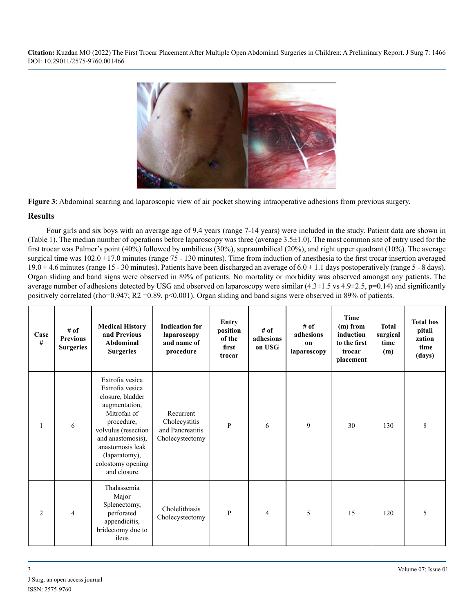

**Figure 3**: Abdominal scarring and laparoscopic view of air pocket showing intraoperative adhesions from previous surgery.

#### **Results**

Four girls and six boys with an average age of 9.4 years (range 7-14 years) were included in the study. Patient data are shown in (Table 1). The median number of operations before laparoscopy was three (average  $3.5\pm1.0$ ). The most common site of entry used for the first trocar was Palmer's point (40%) followed by umbilicus (30%), supraumbilical (20%), and right upper quadrant (10%). The average surgical time was  $102.0 \pm 17.0$  minutes (range 75 - 130 minutes). Time from induction of anesthesia to the first trocar insertion averaged  $19.0 \pm 4.6$  minutes (range 15 - 30 minutes). Patients have been discharged an average of  $6.0 \pm 1.1$  days postoperatively (range 5 - 8 days). Organ sliding and band signs were observed in 89% of patients. No mortality or morbidity was observed amongst any patients. The average number of adhesions detected by USG and observed on laparoscopy were similar  $(4.3\pm1.5 \text{ vs } 4.9\pm2.5 \text{, p=0.14})$  and significantly positively correlated (rho=0.947; R2 =0.89, p<0.001). Organ sliding and band signs were observed in 89% of patients.

| Case<br># | # of<br><b>Previous</b><br><b>Surgeries</b> | <b>Medical History</b><br>and Previous<br>Abdominal<br><b>Surgeries</b>                                                                                                                                                   | <b>Indication for</b><br>laparoscopy<br>and name of<br>procedure  | <b>Entry</b><br>position<br>of the<br>first<br>trocar | $#$ of<br>adhesions<br>on USG | # of<br>adhesions<br>on<br>laparoscopy | <b>Time</b><br>$(m)$ from<br>induction<br>to the first<br>trocar<br>placement | <b>Total</b><br>surgical<br>time<br>(m) | <b>Total hos</b><br>pitali<br>zation<br>time<br>(days) |
|-----------|---------------------------------------------|---------------------------------------------------------------------------------------------------------------------------------------------------------------------------------------------------------------------------|-------------------------------------------------------------------|-------------------------------------------------------|-------------------------------|----------------------------------------|-------------------------------------------------------------------------------|-----------------------------------------|--------------------------------------------------------|
| 1         | 6                                           | Extrofia vesica<br>Extrofia vesica<br>closure, bladder<br>augmentation,<br>Mitrofan of<br>procedure,<br>volvulus (resection<br>and anastomosis),<br>anastomosis leak<br>(laparatomy),<br>colostomy opening<br>and closure | Recurrent<br>Cholecystitis<br>and Pancreatitis<br>Cholecystectomy | $\mathbf{P}$                                          | 6                             | 9                                      | 30                                                                            | 130                                     | 8                                                      |
| 2         | $\overline{4}$                              | Thalassemia<br>Major<br>Splenectomy,<br>perforated<br>appendicitis,<br>bridectomy due to<br>ileus                                                                                                                         | Cholelithiasis<br>Cholecystectomy                                 | P                                                     | $\overline{4}$                | 5                                      | 15                                                                            | 120                                     | 5                                                      |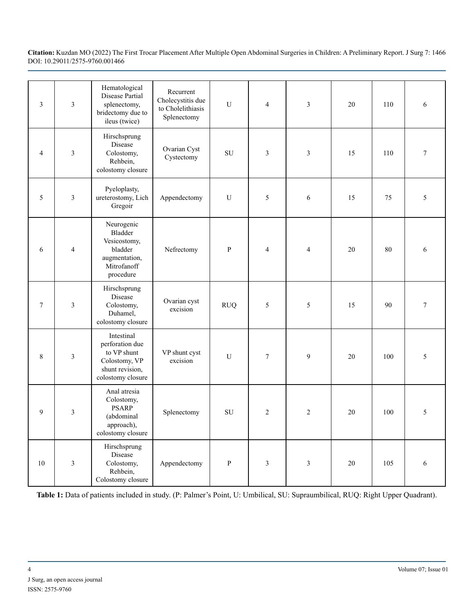| $\mathfrak{Z}$ | $\mathfrak{Z}$ | Hematological<br>Disease Partial<br>splenectomy,<br>bridectomy due to<br>ileus (twice)                | Recurrent<br>Cholecystitis due<br>to Cholelithiasis<br>Splenectomy | U            | 4              | 3              | 20 | 110 | 6      |
|----------------|----------------|-------------------------------------------------------------------------------------------------------|--------------------------------------------------------------------|--------------|----------------|----------------|----|-----|--------|
| 4              | 3              | Hirschsprung<br>Disease<br>Colostomy,<br>Rehbein,<br>colostomy closure                                | Ovarian Cyst<br>Cystectomy                                         | SU           | 3              | 3              | 15 | 110 | $\tau$ |
| 5              | 3              | Pyeloplasty,<br>ureterostomy, Lich<br>Gregoir                                                         | Appendectomy                                                       | U            | 5              | $\epsilon$     | 15 | 75  | 5      |
| 6              | $\overline{4}$ | Neurogenic<br>Bladder<br>Vesicostomy,<br>bladder<br>augmentation,<br>Mitrofanoff<br>procedure         | Nefrectomy                                                         | ${\bf P}$    | $\overline{4}$ | $\overline{4}$ | 20 | 80  | 6      |
| $\tau$         | $\overline{3}$ | Hirschsprung<br>Disease<br>Colostomy,<br>Duhamel,<br>colostomy closure                                | Ovarian cyst<br>excision                                           | <b>RUQ</b>   | 5              | 5              | 15 | 90  | $\tau$ |
| 8              | 3              | Intestinal<br>perforation due<br>to VP shunt<br>Colostomy, VP<br>shunt revision,<br>colostomy closure | VP shunt cyst<br>excision                                          | U            | $\tau$         | 9              | 20 | 100 | 5      |
| 9              | 3              | Anal atresia<br>Colostomy,<br><b>PSARP</b><br>(abdominal<br>approach),<br>colostomy closure           | Splenectomy                                                        | ${\rm SU}$   | $\overline{c}$ | $\overline{2}$ | 20 | 100 | 5      |
| $10\,$         | $\mathfrak{Z}$ | Hirschsprung<br>Disease<br>Colostomy,<br>Rehbein,<br>Colostomy closure                                | Appendectomy                                                       | $\, {\bf p}$ | 3              | 3              | 20 | 105 | 6      |

**Table 1:** Data of patients included in study. (P: Palmer's Point, U: Umbilical, SU: Supraumbilical, RUQ: Right Upper Quadrant).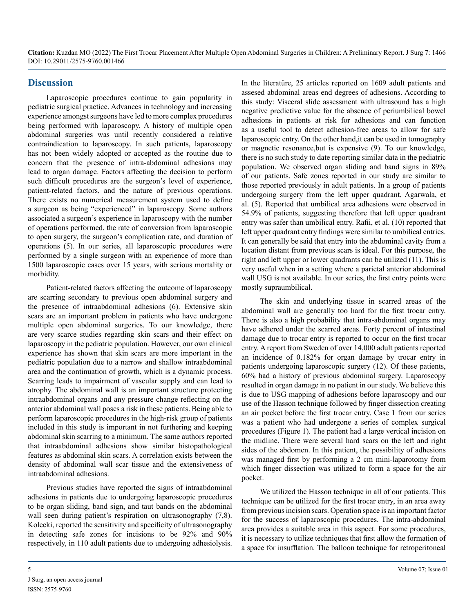#### **Discussion**

Laparoscopic procedures continue to gain popularity in pediatric surgical practice. Advances in technology and increasing experience amongst surgeons have led to more complex procedures being performed with laparoscopy. A history of multiple open abdominal surgeries was until recently considered a relative contraindication to laparoscopy. In such patients, laparoscopy has not been widely adopted or accepted as the routine due to concern that the presence of intra-abdominal adhesions may lead to organ damage. Factors affecting the decision to perform such difficult procedures are the surgeon's level of experience, patient-related factors, and the nature of previous operations. There exists no numerical measurement system used to define a surgeon as being "experienced" in laparoscopy. Some authors associated a surgeon's experience in laparoscopy with the number of operations performed, the rate of conversion from laparoscopic to open surgery, the surgeon's complication rate, and duration of operations (5). In our series, all laparoscopic procedures were performed by a single surgeon with an experience of more than 1500 laparoscopic cases over 15 years, with serious mortality or morbidity.

Patient-related factors affecting the outcome of laparoscopy are scarring secondary to previous open abdominal surgery and the presence of intraabdominal adhesions (6). Extensive skin scars are an important problem in patients who have undergone multiple open abdominal surgeries. To our knowledge, there are very scarce studies regarding skin scars and their effect on laparoscopy in the pediatric population. However, our own clinical experience has shown that skin scars are more important in the pediatric population due to a narrow and shallow intraabdominal area and the continuation of growth, which is a dynamic process. Scarring leads to impairment of vascular supply and can lead to atrophy. The abdominal wall is an important structure protecting intraabdominal organs and any pressure change reflecting on the anterior abdominal wall poses a risk in these patients. Being able to perform laparoscopic procedures in the high-risk group of patients included in this study is important in not furthering and keeping abdominal skin scarring to a minimum. The same authors reported that intraabdominal adhesions show similar histopathological features as abdominal skin scars. A correlation exists between the density of abdominal wall scar tissue and the extensiveness of intraabdominal adhesions.

Previous studies have reported the signs of intraabdominal adhesions in patients due to undergoing laparoscopic procedures to be organ sliding, band sign, and taut bands on the abdominal wall seen during patient's respiration on ultrasonography  $(7,8)$ . Kolecki, reported the sensitivity and specificity of ultrasonography in detecting safe zones for incisions to be 92% and 90% respectively, in 110 adult patients due to undergoing adhesiolysis.

In the literatüre, 25 articles reported on 1609 adult patients and assesed abdominal areas end degrees of adhesions. According to this study: Visceral slide assessment with ultrasound has a high negative predictive value for the absence of periumbilical bowel adhesions in patients at risk for adhesions and can function as a useful tool to detect adhesion-free areas to allow for safe laparoscopic entry. On the other hand,it can be used in tomography or magnetic resonance,but is expensive (9). To our knowledge, there is no such study to date reporting similar data in the pediatric population. We observed organ sliding and band signs in 89% of our patients. Safe zones reported in our study are similar to those reported previously in adult patients. In a group of patients undergoing surgery from the left upper quadrant, Agarwala, et al. (5). Reported that umbilical area adhesions were observed in 54.9% of patients, suggesting therefore that left upper quadrant entry was safer than umbilical entry. Rafii, et al. (10) reported that left upper quadrant entry findings were similar to umbilical entries. It can generally be said that entry into the abdominal cavity from a location distant from previous scars is ideal. For this purpose, the right and left upper or lower quadrants can be utilized (11). This is very useful when in a setting where a parietal anterior abdominal wall USG is not available. In our series, the first entry points were mostly supraumbilical.

The skin and underlying tissue in scarred areas of the abdominal wall are generally too hard for the first trocar entry. There is also a high probability that intra-abdominal organs may have adhered under the scarred areas. Forty percent of intestinal damage due to trocar entry is reported to occur on the first trocar entry. A report from Sweden of over 14,000 adult patients reported an incidence of 0.182% for organ damage by trocar entry in patients undergoing laparoscopic surgery (12). Of these patients, 60% had a history of previous abdominal surgery. Laparoscopy resulted in organ damage in no patient in our study. We believe this is due to USG mapping of adhesions before laparoscopy and our use of the Hasson technique followed by finger dissection creating an air pocket before the first trocar entry. Case 1 from our series was a patient who had undergone a series of complex surgical procedures (Figure 1). The patient had a large vertical incision on the midline. There were several hard scars on the left and right sides of the abdomen. In this patient, the possibility of adhesions was managed first by performing a 2 cm mini-laparotomy from which finger dissection was utilized to form a space for the air pocket.

We utilized the Hasson technique in all of our patients. This technique can be utilized for the first trocar entry, in an area away from previous incision scars. Operation space is an important factor for the success of laparoscopic procedures. The intra-abdominal area provides a suitable area in this aspect. For some procedures, it is necessary to utilize techniques that first allow the formation of a space for insufflation. The balloon technique for retroperitoneal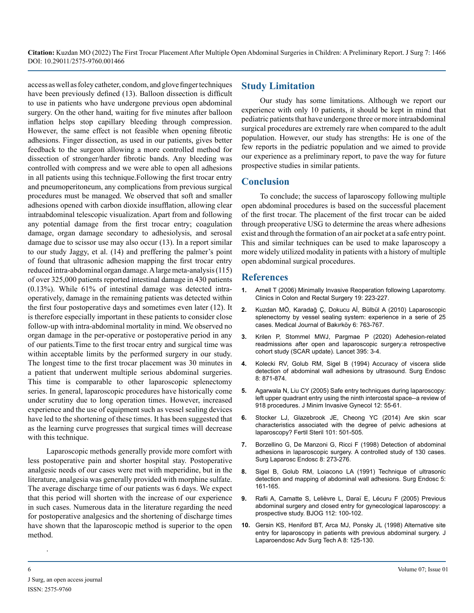access as well as foley catheter, condom, and glove finger techniques have been previously defined (13). Balloon dissection is difficult to use in patients who have undergone previous open abdominal surgery. On the other hand, waiting for five minutes after balloon inflation helps stop capillary bleeding through compression. However, the same effect is not feasible when opening fibrotic adhesions. Finger dissection, as used in our patients, gives better feedback to the surgeon allowing a more controlled method for dissection of stronger/harder fibrotic bands. Any bleeding was controlled with compress and we were able to open all adhesions in all patients using this technique.Following the first trocar entry and pneumoperitoneum, any complications from previous surgical procedures must be managed. We observed that soft and smaller adhesions opened with carbon dioxide insufflation, allowing clear intraabdominal telescopic visualization. Apart from and following any potential damage from the first trocar entry; coagulation damage, organ damage secondary to adhesiolysis, and serosal damage due to scissor use may also occur (13). In a report similar to our study Jaggy, et al. (14) and preffering the palmer's point of found that ultrasonic adhesion mapping the first trocar entry reduced intra-abdominal organ damage. A large meta-analysis (115) of over 325,000 patients reported intestinal damage in 430 patients (0.13%). While 61% of intestinal damage was detected intraoperatively, damage in the remaining patients was detected within the first four postoperative days and sometimes even later (12). It is therefore especially important in these patients to consider close follow-up with intra-abdominal mortality in mind. We observed no organ damage in the per-operative or postoperative period in any of our patients.Time to the first trocar entry and surgical time was within acceptable limits by the performed surgery in our study. The longest time to the first trocar placement was 30 minutes in a patient that underwent multiple serious abdominal surgeries. This time is comparable to other laparoscopic splenectomy series. In general, laparoscopic procedures have historically come under scrutiny due to long operation times. However, increased experience and the use of equipment such as vessel sealing devices have led to the shortening of these times. It has been suggested that as the learning curve progresses that surgical times will decrease with this technique.

Laparoscopic methods generally provide more comfort with less postoperative pain and shorter hospital stay. Postoperative analgesic needs of our cases were met with meperidine, but in the literature, analgesia was generally provided with morphine sulfate. The average discharge time of our patients was 6 days. We expect that this period will shorten with the increase of our experience in such cases. Numerous data in the literature regarding the need for postoperative analgesics and the shortening of discharge times have shown that the laparoscopic method is superior to the open method.

#### **Study Limitation**

Our study has some limitations. Although we report our experience with only 10 patients, it should be kept in mind that pediatric patients that have undergone three or more intraabdominal surgical procedures are extremely rare when compared to the adult population. However, our study has strengths: He is one of the few reports in the pediatric population and we aimed to provide our experience as a preliminary report, to pave the way for future prospective studies in similar patients.

#### **Conclusion**

To conclude; the success of laparoscopy following multiple open abdominal procedures is based on the successful placement of the first trocar. The placement of the first trocar can be aided through preoperative USG to determine the areas where adhesions exist and through the formation of an air pocket at a safe entry point. This and similar techniques can be used to make laparoscopy a more widely utilized modality in patients with a history of multiple open abdominal surgical procedures.

#### **References**

- **1.** [Arnell T \(2006\) Minimally Invasive Reoperation following Laparotomy.](https://pubmed.ncbi.nlm.nih.gov/20011325/)  [Clinics in Colon and Rectal Surgery 19: 223-227.](https://pubmed.ncbi.nlm.nih.gov/20011325/)
- **2.** [Kuzdan MÖ, Karadağ Ç, Dokucu Aİ, Bülbül A \(2010\) Laparoscopic](https://pubmed.ncbi.nlm.nih.gov/18855205/)  [splenectomy by vessel sealing system: experience in a serie of 25](https://pubmed.ncbi.nlm.nih.gov/18855205/)  [cases. Medical Journal of Bakırköy 6: 763-767.](https://pubmed.ncbi.nlm.nih.gov/18855205/)
- **3.** [Krilen P, Stommel MWJ, Pargmae P \(2020\) Adehesion-related](https://www.thelancet.com/article/S0140-6736(19)32636-4/fulltext#:~:text=We found that patients who,%2Drelated readmissions by 11%25.)  [readmissions after open and laparoscopic surgery:a retrospective](https://www.thelancet.com/article/S0140-6736(19)32636-4/fulltext#:~:text=We found that patients who,%2Drelated readmissions by 11%25.)  [cohort study \(SCAR update\). Lancet 395: 3-4.](https://www.thelancet.com/article/S0140-6736(19)32636-4/fulltext#:~:text=We found that patients who,%2Drelated readmissions by 11%25.)
- **4.** [Kolecki RV, Golub RM, Sigel B \(1994\) Accuracy of viscera slide](https://pubmed.ncbi.nlm.nih.gov/7992152/#:~:text=Sensitivity and specificity of viscera,in detecting abdominal wall adhesions.)  [detection of abdominal wall adhesions by ultrasound. Surg Endosc](https://pubmed.ncbi.nlm.nih.gov/7992152/#:~:text=Sensitivity and specificity of viscera,in detecting abdominal wall adhesions.)  [8: 871-874.](https://pubmed.ncbi.nlm.nih.gov/7992152/#:~:text=Sensitivity and specificity of viscera,in detecting abdominal wall adhesions.)
- **5.** [Agarwala N, Liu CY \(2005\) Safe entry techniques during laparoscopy:](https://pubmed.ncbi.nlm.nih.gov/15904600/)  [left upper quadrant entry using the ninth intercostal space--a review of](https://pubmed.ncbi.nlm.nih.gov/15904600/)  [918 procedures. J Minim Invasive Gynecol 12: 55-61.](https://pubmed.ncbi.nlm.nih.gov/15904600/)
- **6.** [Stocker LJ, Glazebrook JE, Cheong YC \(2014\) Are skin scar](https://pubmed.ncbi.nlm.nih.gov/24289993/#:~:text=Conclusion(s)%3A Adhesions are,and degree of pelvic adhesions.)  [characteristics associated with the degree of pelvic adhesions at](https://pubmed.ncbi.nlm.nih.gov/24289993/#:~:text=Conclusion(s)%3A Adhesions are,and degree of pelvic adhesions.)  [laparoscopy? Fertil Steril 101: 501-505.](https://pubmed.ncbi.nlm.nih.gov/24289993/#:~:text=Conclusion(s)%3A Adhesions are,and degree of pelvic adhesions.)
- **7.** [Borzellino G, De Manzoni G, Ricci F \(1998\) Detection of abdominal](https://pubmed.ncbi.nlm.nih.gov/9703599/http:/paperpile.com/b/eRAL9P/RDbD)  [adhesions in laparoscopic surgery. A controlled study of 130 cases.](https://pubmed.ncbi.nlm.nih.gov/9703599/http:/paperpile.com/b/eRAL9P/RDbD)  [Surg Laparosc Endosc 8: 273-276.](https://pubmed.ncbi.nlm.nih.gov/9703599/http:/paperpile.com/b/eRAL9P/RDbD)
- **8.** [Sigel B, Golub RM, Loiacono LA \(1991\) Technique of ultrasonic](https://pubmed.ncbi.nlm.nih.gov/1839571/)  [detection and mapping of abdominal wall adhesions. Surg Endosc 5:](https://pubmed.ncbi.nlm.nih.gov/1839571/)  [161-165.](https://pubmed.ncbi.nlm.nih.gov/1839571/)
- **9.** [Rafii A, Camatte S, Lelièvre L, Daraï E, Lécuru F \(2005\) Previous](https://pubmed.ncbi.nlm.nih.gov/15663406/)  [abdominal surgery and closed entry for gynecological laparoscopy: a](https://pubmed.ncbi.nlm.nih.gov/15663406/)  [prospective study. BJOG 112: 100-102.](https://pubmed.ncbi.nlm.nih.gov/15663406/)
- **10.** [Gersin KS, Heniford BT, Arca MJ, Ponsky JL \(1998\) Alternative site](https://pubmed.ncbi.nlm.nih.gov/9681424/)  [entry for laparoscopy in patients with previous abdominal surgery. J](https://pubmed.ncbi.nlm.nih.gov/9681424/) [Laparoendosc Adv Surg Tech A 8: 125-130.](https://pubmed.ncbi.nlm.nih.gov/9681424/)

.